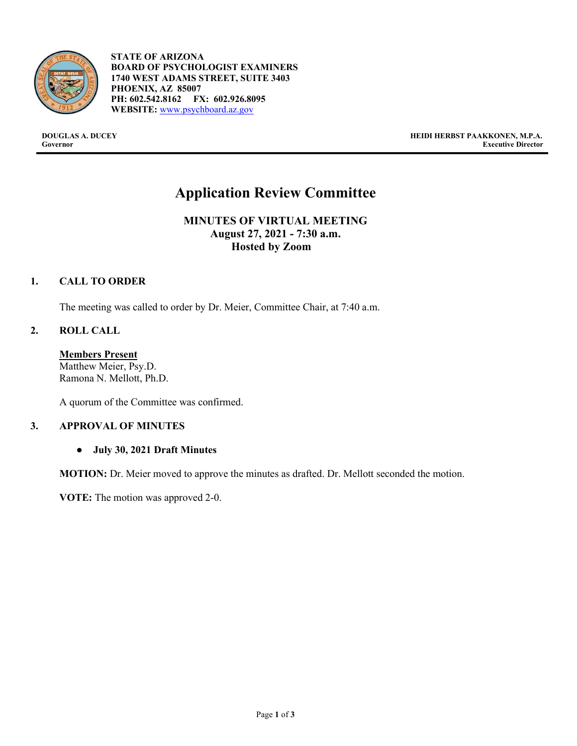

- **STATE OF ARIZONA BOARD OF PSYCHOLOGIST EXAMINERS 1740 WEST ADAMS STREET, SUITE 3403 PHOENIX, AZ 85007 PH: 602.542.8162 FX: 602.926.8095 WEBSITE:** [www.psychboard.az.gov](http://www.psychboard.az.gov/)

**DOUGLAS A. DUCEY HEIDI HERBST PAAKKONEN, M.P.A. Executive Director** 

## **Application Review Committee**

**MINUTES OF VIRTUAL MEETING August 27, 2021 - 7:30 a.m. Hosted by Zoom**

## **1. CALL TO ORDER**

The meeting was called to order by Dr. Meier, Committee Chair, at 7:40 a.m.

## **2. ROLL CALL**

**Members Present** Matthew Meier, Psy.D. Ramona N. Mellott, Ph.D.

A quorum of the Committee was confirmed.

## **3. APPROVAL OF MINUTES**

● **July 30, 2021 Draft Minutes**

**MOTION:** Dr. Meier moved to approve the minutes as drafted. Dr. Mellott seconded the motion.

**VOTE:** The motion was approved 2-0.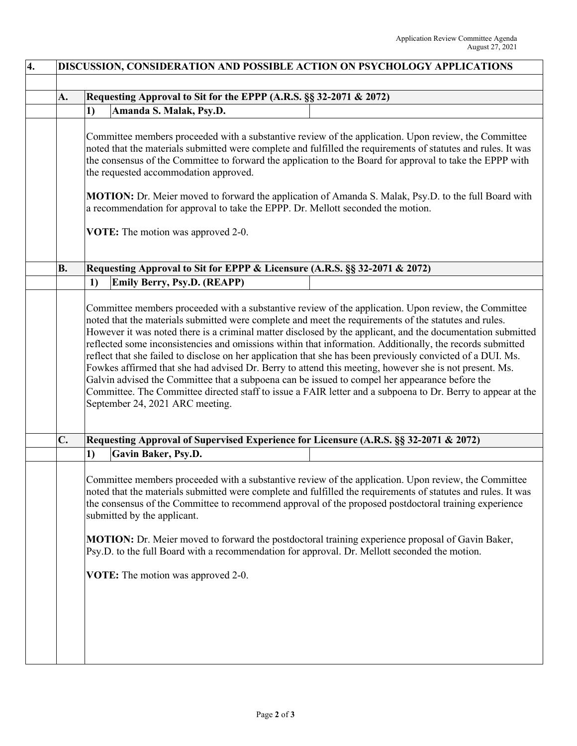| A.        | Requesting Approval to Sit for the EPPP (A.R.S. §§ 32-2071 & 2072)                                                                                                                                                                                                                                                                                                                                                                                                                                                                                                                                                                                                                                                                                                                                             |
|-----------|----------------------------------------------------------------------------------------------------------------------------------------------------------------------------------------------------------------------------------------------------------------------------------------------------------------------------------------------------------------------------------------------------------------------------------------------------------------------------------------------------------------------------------------------------------------------------------------------------------------------------------------------------------------------------------------------------------------------------------------------------------------------------------------------------------------|
|           | Amanda S. Malak, Psy.D.<br>1)                                                                                                                                                                                                                                                                                                                                                                                                                                                                                                                                                                                                                                                                                                                                                                                  |
|           |                                                                                                                                                                                                                                                                                                                                                                                                                                                                                                                                                                                                                                                                                                                                                                                                                |
|           | Committee members proceeded with a substantive review of the application. Upon review, the Committee<br>noted that the materials submitted were complete and fulfilled the requirements of statutes and rules. It was<br>the consensus of the Committee to forward the application to the Board for approval to take the EPPP with<br>the requested accommodation approved.                                                                                                                                                                                                                                                                                                                                                                                                                                    |
|           | MOTION: Dr. Meier moved to forward the application of Amanda S. Malak, Psy.D. to the full Board with<br>a recommendation for approval to take the EPPP. Dr. Mellott seconded the motion.                                                                                                                                                                                                                                                                                                                                                                                                                                                                                                                                                                                                                       |
|           | VOTE: The motion was approved 2-0.                                                                                                                                                                                                                                                                                                                                                                                                                                                                                                                                                                                                                                                                                                                                                                             |
| <b>B.</b> | Requesting Approval to Sit for EPPP & Licensure (A.R.S. §§ 32-2071 & 2072)                                                                                                                                                                                                                                                                                                                                                                                                                                                                                                                                                                                                                                                                                                                                     |
|           | Emily Berry, Psy.D. (REAPP)<br>1)                                                                                                                                                                                                                                                                                                                                                                                                                                                                                                                                                                                                                                                                                                                                                                              |
|           | noted that the materials submitted were complete and meet the requirements of the statutes and rules.<br>However it was noted there is a criminal matter disclosed by the applicant, and the documentation submitted<br>reflected some inconsistencies and omissions within that information. Additionally, the records submitted<br>reflect that she failed to disclose on her application that she has been previously convicted of a DUI. Ms.<br>Fowkes affirmed that she had advised Dr. Berry to attend this meeting, however she is not present. Ms.<br>Galvin advised the Committee that a subpoena can be issued to compel her appearance before the<br>Committee. The Committee directed staff to issue a FAIR letter and a subpoena to Dr. Berry to appear at the<br>September 24, 2021 ARC meeting. |
| C.        | Requesting Approval of Supervised Experience for Licensure (A.R.S. §§ 32-2071 & 2072)                                                                                                                                                                                                                                                                                                                                                                                                                                                                                                                                                                                                                                                                                                                          |
|           | Gavin Baker, Psy.D.<br>1)                                                                                                                                                                                                                                                                                                                                                                                                                                                                                                                                                                                                                                                                                                                                                                                      |
|           | Committee members proceeded with a substantive review of the application. Upon review, the Committee<br>noted that the materials submitted were complete and fulfilled the requirements of statutes and rules. It was<br>the consensus of the Committee to recommend approval of the proposed postdoctoral training experience<br>submitted by the applicant.                                                                                                                                                                                                                                                                                                                                                                                                                                                  |
|           | <b>MOTION:</b> Dr. Meier moved to forward the postdoctoral training experience proposal of Gavin Baker,<br>Psy.D. to the full Board with a recommendation for approval. Dr. Mellott seconded the motion.                                                                                                                                                                                                                                                                                                                                                                                                                                                                                                                                                                                                       |
|           | VOTE: The motion was approved 2-0.                                                                                                                                                                                                                                                                                                                                                                                                                                                                                                                                                                                                                                                                                                                                                                             |
|           |                                                                                                                                                                                                                                                                                                                                                                                                                                                                                                                                                                                                                                                                                                                                                                                                                |
|           |                                                                                                                                                                                                                                                                                                                                                                                                                                                                                                                                                                                                                                                                                                                                                                                                                |
|           |                                                                                                                                                                                                                                                                                                                                                                                                                                                                                                                                                                                                                                                                                                                                                                                                                |